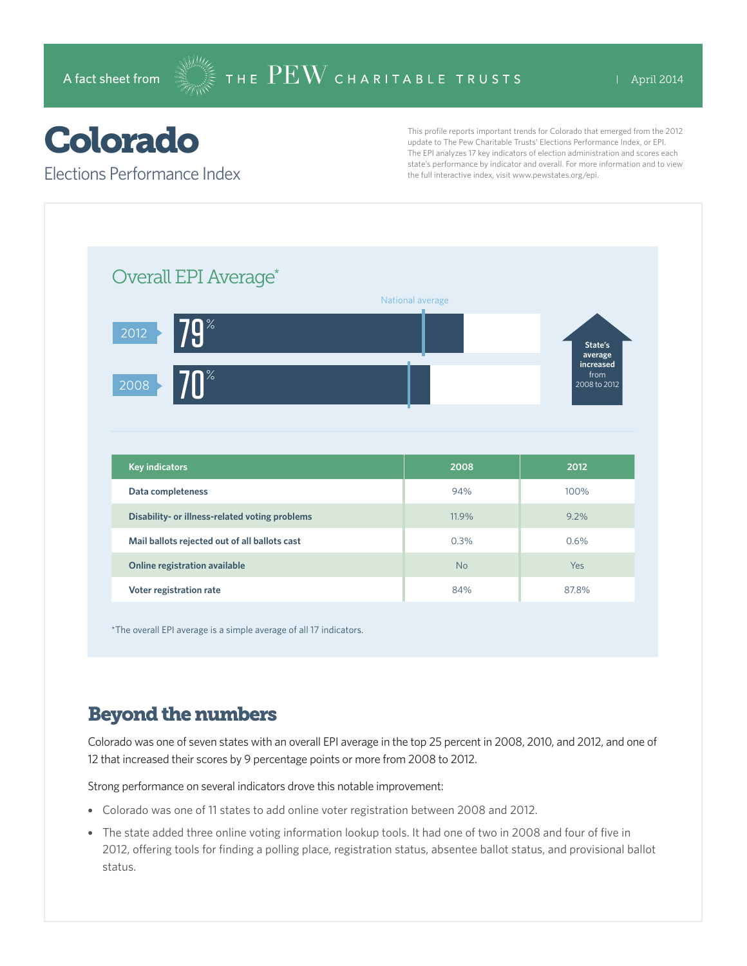## Colorado

Elections Performance Index

This profile reports important trends for Colorado that emerged from the 2012 update to The Pew Charitable Trusts' Elections Performance Index, or EPI. The EPI analyzes 17 key indicators of election administration and scores each state's performance by indicator and overall. For more information and to view the full interactive index, visit www.pewstates.org/epi.

| Overall EPI Average*                           |                  |                                              |
|------------------------------------------------|------------------|----------------------------------------------|
|                                                | National average |                                              |
| <b>79</b> %<br>2012                            |                  | State's                                      |
| $\mathsf{I} \cap \mathscr{C}$<br>2008          |                  | average<br>increased<br>from<br>2008 to 2012 |
|                                                |                  |                                              |
| <b>Key indicators</b>                          | 2008             | 2012                                         |
| Data completeness                              | 94%              | 100%                                         |
| Disability- or illness-related voting problems | 11.9%            | 9.2%                                         |
| Mail ballots rejected out of all ballots cast  | 0.3%             | 0.6%                                         |
| Online registration available                  | <b>No</b>        | Yes                                          |

\*The overall EPI average is a simple average of all 17 indicators.

## Beyond the numbers

Colorado was one of seven states with an overall EPI average in the top 25 percent in 2008, 2010, and 2012, and one of 12 that increased their scores by 9 percentage points or more from 2008 to 2012.

Strong performance on several indicators drove this notable improvement:

- Colorado was one of 11 states to add online voter registration between 2008 and 2012.
- The state added three online voting information lookup tools. It had one of two in 2008 and four of five in 2012, offering tools for finding a polling place, registration status, absentee ballot status, and provisional ballot status.